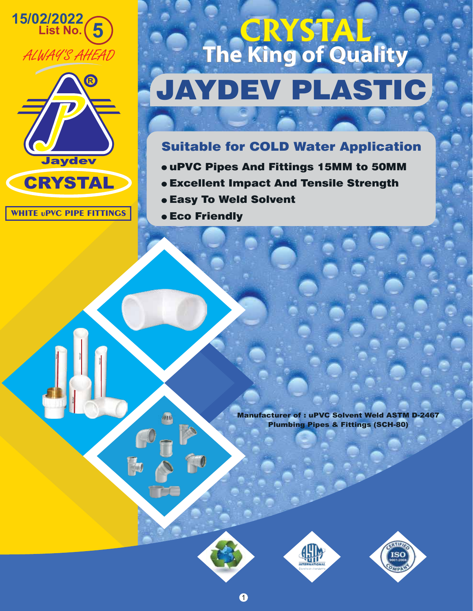



**WHITE uPVC PIPE FITTINGS**

CRYSTAL

CRYSTAL

CRYSTAL

## JAYDEV PLASTIC **CRYSTAL The King of Quality CRYSTAL The King of Quality**

## Suitable for COLD Water Application

- uPVC Pipes And Fittings 15MM to 50MM
- Excellent Impact And Tensile Strength
- Easy To Weld Solvent
- **e Eco Friendly**

ЛÑ,

 $\hat{L}$ 

Manufacturer of : uPVC Solvent Weld ASTM D-2467 Plumbing Pipes & Fittings (SCH-80)





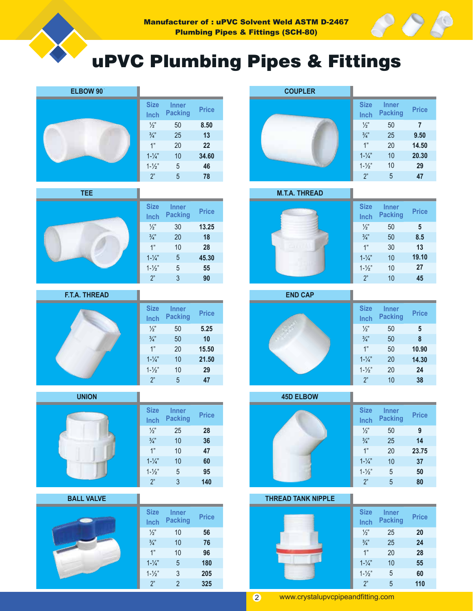





| <b>Size</b><br>Inch | Inner<br><b>Packing</b> | <b>Price</b> |
|---------------------|-------------------------|--------------|
| $\frac{1}{2}$       | 50                      | 8,50         |
| $\frac{3}{4}$       | 25                      | 13           |
| 1"                  | 20                      | 22           |
| $1 - \frac{1}{4}$   | 10                      | 34.60        |
| $1 - \frac{1}{2}$   | 5                       | 46           |
| 2"                  | 5                       | 78           |

**TEE**



| <b>Size</b><br>Inch | <b>Inner</b><br><b>Packing</b> | <b>Price</b> |
|---------------------|--------------------------------|--------------|
| $\frac{1}{2}$       | 30                             | 13.25        |
| $\frac{3}{4}$       | 20                             | 18           |
| 1"                  | 10                             | 28           |
| $1 - \frac{1}{4}$   | 5                              | 45.30        |
| $1 - \frac{1}{2}$   | 5                              | 55           |
| 2"                  | 3                              | 90           |

**F.T.A. THREAD**



**UNION**



**BALL VALVE**











| <b>Size</b><br>Inch | <b>Inner</b><br><b>Packing</b> | <b>Price</b> |
|---------------------|--------------------------------|--------------|
| $\frac{1}{2}$       | 50                             | 9            |
| $\frac{3}{4}$       | 25                             | 14           |
| 1"                  | 20                             | 23.75        |
| $1 - \frac{1}{4}$   | 10                             | 37           |
| $1 - \frac{1}{2}$   | 5                              | 50           |
| 2"                  | 5                              | 80           |
|                     |                                |              |

#### **THREAD TANK NIPPLE**



| Ξ |                     |                                |              |
|---|---------------------|--------------------------------|--------------|
|   | <b>Size</b><br>Inch | <b>Inner</b><br><b>Packing</b> | <b>Price</b> |
|   | $\frac{1}{2}$       | 25                             | 20           |
|   | $\frac{3}{4}$       | 25                             | 24           |
|   | 1"                  | 20                             | 28           |
|   | $1 - \frac{1}{4}$   | 10                             | 55           |
|   | $1 - \frac{1}{2}$   | 5                              | 60           |
|   | 2"                  | 5                              | 110          |

2 www.crystalupvcpipeandfitting.com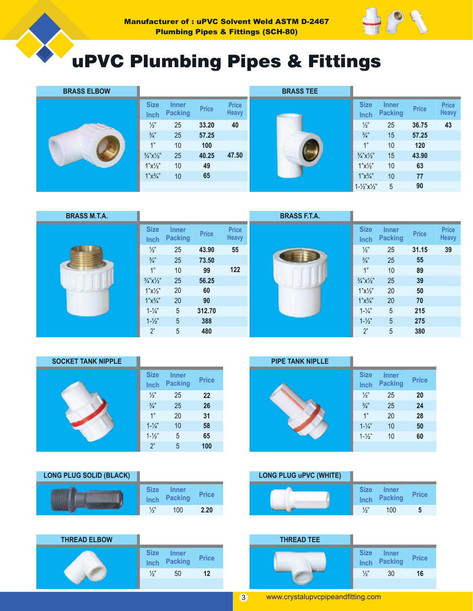

| <b>BRASS ELBOW</b> |                                  |                                |       |                              | <b>BRASS TEE</b> |                                  |                                |              |                              |
|--------------------|----------------------------------|--------------------------------|-------|------------------------------|------------------|----------------------------------|--------------------------------|--------------|------------------------------|
|                    | <b>Size</b><br><b>Inch</b>       | <b>Inner</b><br><b>Packing</b> | Price | <b>Price</b><br><b>Heavy</b> |                  | <b>Size</b><br><b>Inch</b>       | <b>Inner</b><br><b>Packing</b> | <b>Price</b> | <b>Price</b><br><b>Heavy</b> |
|                    | $\frac{1}{2}$                    | 25                             | 33.20 | 40                           |                  | $\frac{1}{2}$                    | 25                             | 36.75        | 43                           |
|                    | $\frac{3}{4}$                    | 25                             | 57.25 |                              |                  | $\frac{3}{4}$                    | 15                             | 57.25        |                              |
|                    | 1"                               | 10                             | 100   |                              |                  | 1"                               | 10                             | 120          |                              |
|                    | $\frac{3}{4}$ "X $\frac{1}{2}$ " | 25                             | 40.25 | 47.50                        |                  | $\frac{3}{4}$ "X $\frac{1}{2}$ " | 15                             | 43.90        |                              |
|                    | $1"x!\!/\!2"$                    | 10                             | 49    |                              |                  | $1"x!\!/\!2"$                    | 10                             | 63           |                              |
|                    | $1"x\frac{3}{4"}$                | 10                             | 65    |                              |                  | $1"x\frac{3}{4"}$                | 10                             | 77           |                              |
|                    |                                  |                                |       |                              |                  | $1 - \frac{1}{2}x\frac{1}{2}$    | 5                              | 90           |                              |

| <b>BRASS M.T.A.</b> |                                  |                                |              |                              | <b>BRASS F.T.A.</b> |                                  |                                |              |                              |
|---------------------|----------------------------------|--------------------------------|--------------|------------------------------|---------------------|----------------------------------|--------------------------------|--------------|------------------------------|
|                     | <b>Size</b><br>Inch              | <b>Inner</b><br><b>Packing</b> | <b>Price</b> | <b>Price</b><br><b>Heavy</b> |                     | <b>Size</b><br><b>Inch</b>       | <b>Inner</b><br><b>Packing</b> | <b>Price</b> | <b>Price</b><br><b>Heavy</b> |
|                     | $\frac{1}{2}$                    | 25                             | 43.90        | 55                           |                     | $\frac{1}{2}$                    | 25                             | 31.15        | 39                           |
|                     | $\frac{3}{4}$                    | 25                             | 73.50        |                              |                     | $\frac{3}{4}$                    | 25                             | 55           |                              |
|                     | 1"                               | 10                             | 99           | 122                          |                     | 4"                               | 10                             | 89           |                              |
|                     | $\frac{3}{4}$ "X $\frac{1}{2}$ " | 25                             | 56.25        |                              |                     | $\frac{3}{4}$ "X $\frac{1}{2}$ " | 25                             | 39           |                              |
|                     | $1"x!\!/\!2"$                    | 20                             | 60           |                              |                     | $1"x!\!/\!2"$                    | 20                             | 50           |                              |
|                     | $1"x\frac{3}{4"}$                | 20                             | 90           |                              |                     | $1"x\frac{3}{4"}$                | 20                             | 70           |                              |
|                     | $1 - \frac{1}{4}$                | 5                              | 312.70       |                              |                     | $1 - \frac{1}{4}$                | 5                              | 215          |                              |
|                     | $1 - \frac{1}{2}$                | 5                              | 388          |                              |                     | $1 - \frac{1}{2}$                | 5                              | 275          |                              |
|                     | 2"                               | 5                              | 480          |                              |                     | 2"                               | 5                              | 380          |                              |

### **SOCKET TANK NIPPLE**

| <b>Size</b><br>Inch | <b>Inner</b><br><b>Packing</b> | <b>Price</b> |
|---------------------|--------------------------------|--------------|
| $\frac{1}{2}$       | 25                             | 22           |
| $\frac{3}{4}$       | 25                             | 26           |
| 1"                  | 20                             | 31           |
| $1 - \frac{1}{4}$   | 10                             | 58           |
| $1 - \frac{1}{2}$   | 5                              | 65           |
| 2"                  | 5                              | 100          |

### **LONG PLUG SOLID (BLACK)**

| <b>Size</b>   | <b>Inner</b><br>Inch Packing | <b>Price</b> |
|---------------|------------------------------|--------------|
| $\frac{1}{2}$ | 100                          | 2.20         |



#### **PIPE TANK NIPLLE**

| <b>Size</b><br>Inch | <b>Inner</b><br><b>Packing</b> | <b>Price</b> |
|---------------------|--------------------------------|--------------|
| $\frac{1}{2}$       | 25                             | 20           |
| $\frac{3}{4}$       | 25                             | 24           |
| 1"                  | 20                             | 28           |
| $1 - \frac{1}{4}$   | 10                             | 50           |
| $1 - \frac{1}{2}$   | 10                             | 60           |
|                     |                                |              |

### **LONG PLUG uPVC (WHITE)**

| <sup>2</sup> rice |  | <b>Size</b><br>Inch | <b>Inner</b><br>Packing | <b>Price</b> |
|-------------------|--|---------------------|-------------------------|--------------|
| 2.20              |  | $\frac{1}{2}$       | 100                     |              |

|                                                                      | <b>THREAD TEE</b> |                            |                                |
|----------------------------------------------------------------------|-------------------|----------------------------|--------------------------------|
| <b>Size</b><br><b>Inner</b><br><b>Price</b><br><b>Packing</b><br>nch |                   | <b>Size</b><br><b>Inch</b> | <b>Inner</b><br><b>Packing</b> |
| 12<br>50                                                             |                   | $\frac{1}{2}$              | 30                             |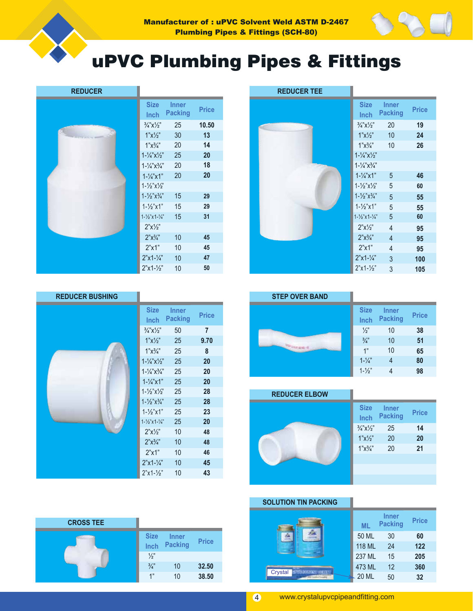



### **REDUCER**

| <b>Size</b><br>Inch                       | <b>Inner</b><br>Packing | Price |
|-------------------------------------------|-------------------------|-------|
| $\frac{3}{4}$ "X $\frac{1}{2}$ "          | 25                      | 10.50 |
| $1"x'\prime2"$                            | 30                      | 13    |
| $1"x^3/x"$                                | 20                      | 14    |
| $1 - \frac{1}{4}$ $x\frac{1}{2}$ "        | 25                      | 20    |
| $1 - \frac{1}{4}x^{3}/4$                  | 20                      | 18    |
| $1 - \frac{1}{4}$ x 1"                    | 20                      | 20    |
| $1 - \frac{1}{2}x\frac{1}{2}$             |                         |       |
| $1 - \frac{1}{2}$ $\chi^3/\chi^2$         | 15                      | 29    |
| $1 - \frac{1}{3}x1$                       | 15                      | 29    |
| $1 - \frac{1}{2}$ " x 1 - $\frac{1}{4}$ " | 15                      | 31    |
| 2"x'2"                                    |                         |       |
| $2"x\frac{3}{4"}$                         | 10                      | 45    |
| 2"x1"                                     | 10                      | 45    |
| $2"x1-1/x"$                               | 10                      | 47    |
| $2"x1-1/2"$                               | 10                      | 50    |

| <b>REDUCER TEE</b> |                                   |                                |              |
|--------------------|-----------------------------------|--------------------------------|--------------|
|                    | <b>Size</b><br>Inch               | <b>Inner</b><br><b>Packing</b> | <b>Price</b> |
|                    | $\frac{3}{4}$ "X $\frac{1}{2}$ "  | 20                             | 19           |
|                    | $1"x!\!/\!2"$                     | 10                             | 24           |
|                    | $1"x\frac{3}{4"}$                 | 10                             | 26           |
|                    | $1 - \frac{1}{4}x\frac{1}{2}$     |                                |              |
|                    | $1 - \frac{1}{4}$ $x^3/4$ "       |                                |              |
|                    | $1 - \frac{1}{4}$ x 1"            | 5                              | 46           |
|                    | $1 - \frac{1}{2} x \frac{1}{2}$   | 5                              | 60           |
|                    | $1 - \frac{1}{2}x^{3}/4$ "        | 5                              | 55           |
|                    | $1 - \frac{1}{2}$ "x1"            | 5                              | 55           |
|                    | $1 - \frac{1}{2}x + \frac{1}{4}y$ | 5                              | 60           |
|                    | $2"x'\!/\!2"$                     | $\overline{4}$                 | 95           |
|                    | $2"x\frac{3}{4"}$                 | $\overline{4}$                 | 95           |
|                    | 2"x1"                             | 4                              | 95           |
|                    | $2"x1-1/4"$                       | 3                              | 100          |
|                    | $2"x1-1/2"$                       | 3                              | 105          |

### **REDUCER BUSHING**



| <b>Size</b><br>Inch                      | <b>Inner</b><br><b>Packing</b> | Price |
|------------------------------------------|--------------------------------|-------|
| $\frac{3}{4}$ "X $\frac{1}{2}$ "         | 50                             | 7     |
| 1"x'/2"                                  | 25                             | 9.70  |
| $1"x^3/4"$                               | 25                             | 8     |
| $1 - \frac{1}{4}x\frac{1}{2}$            | 25                             | 20    |
| $1 - \frac{1}{4}x^3/4$                   | 25                             | 20    |
| $1 - \frac{1}{4}$ x 1"                   | 25                             | 20    |
| $1 - \frac{1}{2}x\frac{1}{2}$            | 25                             | 28    |
| $1 - \frac{1}{2}$ $\chi^3/\chi^2$        | 25                             | 28    |
| $1 - \frac{1}{2}$ "x1"                   | 25                             | 23    |
| $1 - \frac{1}{2}$ "x 1 - $\frac{1}{4}$ " | 25                             | 20    |
| 2"x'/2"                                  | 10                             | 48    |
| $2"x^3/4"$                               | 10                             | 48    |
| 2"x1"                                    | 10                             | 46    |
| $2"x1-1/x"$                              | 10                             | 45    |
| $2"x1 - \frac{1}{2}"$                    | 10                             | 43    |

| <b>CROSS TEE</b> |                     |                                |              |
|------------------|---------------------|--------------------------------|--------------|
|                  | <b>Size</b><br>Inch | <b>Inner</b><br><b>Packing</b> | <b>Price</b> |
|                  | $\frac{1}{2}$       |                                |              |
|                  | $\frac{3}{4}$       | 10                             | 32.50        |
|                  | 1"                  | 10                             | 38.50        |

| <b>STEP OVER BAND</b> |                     |                                |              |
|-----------------------|---------------------|--------------------------------|--------------|
|                       | <b>Size</b><br>Inch | <b>Inner</b><br><b>Packing</b> | <b>Price</b> |
|                       | $\frac{1}{2}$       | 10                             | 38           |
|                       | $\frac{3}{4}$       | 10                             | 51           |
|                       | 1"                  | 10                             | 65           |
|                       | $1 - \frac{1}{4}$   | 4                              | 80           |
|                       | $1 - \frac{1}{2}$   |                                | 98           |

| <b>REDUCER ELBOW</b> |  |
|----------------------|--|
|                      |  |
|                      |  |
|                      |  |
|                      |  |
|                      |  |
|                      |  |

| <b>Size</b><br>Inch              | <b>Inner</b><br><b>Packing</b> | <b>Price</b> |
|----------------------------------|--------------------------------|--------------|
| $\frac{3}{4}$ "X $\frac{1}{2}$ " | 25                             | 14           |
| $1"x!\!/\!2"$                    | 20                             | 20           |
| $1"x^3/4"$                       | 20                             | 21           |
|                                  |                                |              |
|                                  |                                |              |
|                                  |                                |              |

**SOLUTION TIN PACKING**

|                          | <b>ML</b>    | <b>Inner</b><br><b>Packing</b> | <b>Price</b> |
|--------------------------|--------------|--------------------------------|--------------|
|                          | 50 ML        | 30                             | 60           |
|                          | 118 ML       | 24                             | 122          |
|                          | 237 ML       | 15                             | 205          |
| <b>SPOSSOSOSI SELLET</b> | 473 ML       | 12                             | 360          |
| Crystal                  | <b>20 ML</b> | 50                             | 32           |

ı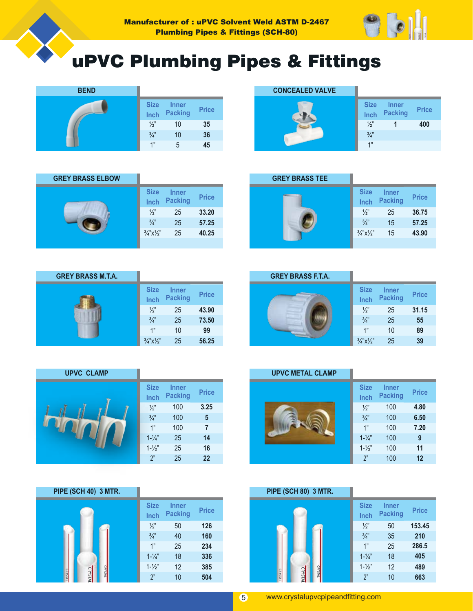





|      | <b>CONCEALED VALVE</b> |                     |                                |              |
|------|------------------------|---------------------|--------------------------------|--------------|
| rice |                        | <b>Size</b><br>Inch | <b>Inner</b><br><b>Packing</b> | <b>Price</b> |
| 35   |                        | $\frac{1}{2}$       |                                | 400          |
| 36   |                        | $\frac{3}{4}$       |                                |              |
| 45   |                        | 1"                  |                                |              |

| <b>GREY BRASS ELBOW</b> |                                       |                                |              |
|-------------------------|---------------------------------------|--------------------------------|--------------|
|                         | <b>Size</b><br>Inch                   | <b>Inner</b><br><b>Packing</b> | <b>Price</b> |
|                         | $\frac{1}{2}$                         | 25                             | 33.20        |
|                         | $\frac{3}{4}$                         | 25                             | 57.25        |
|                         | $\frac{3}{4}$ " $\times\frac{1}{2}$ " | 25                             | 40.25        |
|                         |                                       |                                |              |

| <b>GREY BRASS TEE</b> |                                  |                                |              |
|-----------------------|----------------------------------|--------------------------------|--------------|
|                       | <b>Size</b><br>Inch              | <b>Inner</b><br><b>Packing</b> | <b>Price</b> |
|                       | $\frac{1}{2}$                    | 25                             | 36.75        |
|                       | $\frac{3}{4}$                    | 15                             | 57.25        |
|                       | $\frac{3}{4}$ "X $\frac{1}{2}$ " | 15                             | 43.90        |
|                       |                                  |                                |              |

| <b>GREY BRASS M.T.A.</b> |                                  |                                |              |
|--------------------------|----------------------------------|--------------------------------|--------------|
|                          | <b>Size</b><br>Inch              | <b>Inner</b><br><b>Packing</b> | <b>Price</b> |
|                          | $\frac{1}{2}$                    | 25                             | 43.90        |
|                          | $\frac{3}{4}$                    | 25                             | 73.50        |
|                          | 1"                               | 10                             | 99           |
|                          | $\frac{3}{4}$ "X $\frac{1}{2}$ " | 25                             | 56.25        |

| <b>GREY BRASS F.T.A.</b> |                                  |                                |              |
|--------------------------|----------------------------------|--------------------------------|--------------|
|                          | <b>Size</b><br>Inch              | <b>Inner</b><br><b>Packing</b> | <b>Price</b> |
|                          | $\frac{1}{2}$                    | 25                             | 31.15        |
|                          | $\frac{3}{4}$                    | 25                             | 55           |
|                          | 1"                               | 10                             | 89           |
|                          | $\frac{3}{4}$ "X $\frac{1}{2}$ " | 25                             | 39           |

| <b>UPVC CLAMP</b> |                     |                                |                |
|-------------------|---------------------|--------------------------------|----------------|
|                   | <b>Size</b><br>Inch | <b>Inner</b><br><b>Packing</b> | <b>Price</b>   |
|                   | $\frac{1}{2}$       | 100                            | 3.25           |
|                   | $\frac{3}{4}$       | 100                            | 5              |
|                   | 1"                  | 100                            | $\overline{7}$ |
|                   | $1 - \frac{1}{4}$   | 25                             | 14             |
|                   | $1 - \frac{1}{2}$   | 25                             | 16             |
|                   | 2"                  | 25                             | 22             |

**PIPE (SCH 40) 3 MTR.**

| <b>UPVC METAL CLAMP</b> |                     |                                |              |
|-------------------------|---------------------|--------------------------------|--------------|
|                         | <b>Size</b><br>Inch | <b>Inner</b><br><b>Packing</b> | <b>Price</b> |
|                         | $\frac{1}{2}$       | 100                            | 4.80         |
|                         | $\frac{3}{4}$       | 100                            | 6.50         |
|                         | 1"                  | 100                            | 7.20         |
|                         | $1 - \frac{1}{4}$   | 100                            | 9            |
|                         | $1 - \frac{1}{2}$   | 100                            | 11           |
|                         | 2"                  | 100                            | 12           |
|                         |                     |                                |              |

| PIPE (SCH 80) 3 MTR.                              |                     |                                |              |
|---------------------------------------------------|---------------------|--------------------------------|--------------|
|                                                   | <b>Size</b><br>Inch | <b>Inner</b><br><b>Packing</b> | <b>Price</b> |
|                                                   | $\frac{1}{2}$       | 50                             | 153.45       |
|                                                   | $\frac{3}{4}$       | 35                             | 210          |
|                                                   | 1"                  | 25                             | 286.5        |
|                                                   | $1 - \frac{1}{4}$   | 18                             | 405          |
|                                                   | $1 - \frac{1}{2}$   | 12                             | 489          |
| <b>CRYSTAL</b><br><b>CRYSTA</b><br><b>CRYSTAL</b> | 2"                  | 10                             | 663          |

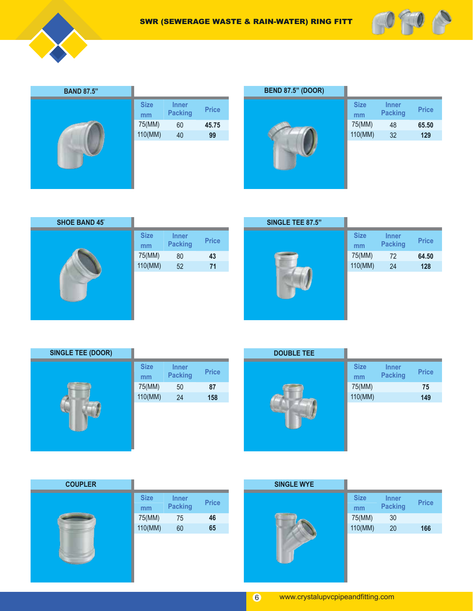



| <b>BAND 87.5"</b> |                   |                                |              |
|-------------------|-------------------|--------------------------------|--------------|
|                   | <b>Size</b><br>mm | <b>Inner</b><br><b>Packing</b> | <b>Price</b> |
|                   | 75(MM)            | 60                             | 45.75        |
|                   | 110(MM)           | 40                             | 99           |
|                   |                   |                                |              |



| <b>SHOE BAND 45°</b> |                   |                                |              |
|----------------------|-------------------|--------------------------------|--------------|
|                      | <b>Size</b><br>mm | <b>Inner</b><br><b>Packing</b> | <b>Price</b> |
|                      | 75(MM)            | 80                             | 43           |
|                      | 110(MM)           | 52                             | 71           |
|                      |                   |                                |              |

| SINGLE TEE 87.5" |                   |                                |              |
|------------------|-------------------|--------------------------------|--------------|
|                  | <b>Size</b><br>mm | <b>Inner</b><br><b>Packing</b> | <b>Price</b> |
|                  | 75(MM)            | 72                             | 64.50        |
|                  | 110(MM)           | 24                             | 128          |
|                  |                   |                                |              |

| <b>Size</b><br>mm | Inner<br><b>Packing</b> | <b>Price</b> |
|-------------------|-------------------------|--------------|
| 75(MM)            | 50                      | 87           |
| 110(MM)           | 24                      | 158          |
|                   |                         |              |



| <b>Size</b><br>mm | Inner<br><b>Packing</b> | <b>Price</b> |
|-------------------|-------------------------|--------------|
| 75(MM)            |                         | 75           |
| 110(MM)           |                         | 149          |
|                   |                         |              |

| <b>COUPLER</b> |                   |                                |              |
|----------------|-------------------|--------------------------------|--------------|
|                | <b>Size</b><br>mm | <b>Inner</b><br><b>Packing</b> | <b>Price</b> |
|                | 75(MM)            | 75                             | 46           |
|                | 110(MM)           | 60                             | 65           |
|                |                   |                                |              |

| <b>SINGLE WYE</b> |                   |                                |              |
|-------------------|-------------------|--------------------------------|--------------|
|                   | <b>Size</b><br>mm | <b>Inner</b><br><b>Packing</b> | <b>Price</b> |
|                   | 75(MM)            | 30                             |              |
|                   | 110(MM)           | 20                             | 166          |
|                   |                   |                                |              |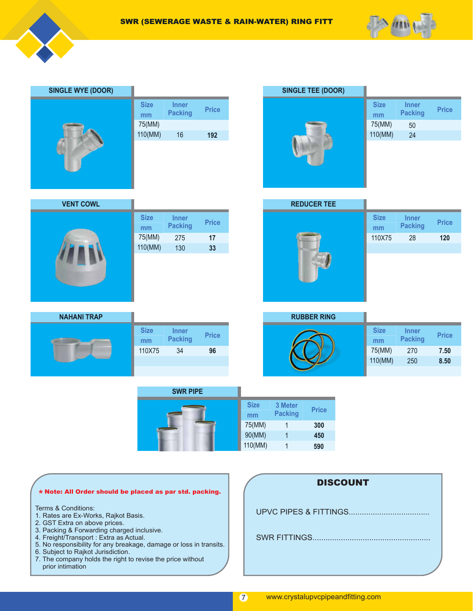



| <b>SINGLE WYE (DOOR)</b> |                   |                                |              |
|--------------------------|-------------------|--------------------------------|--------------|
|                          | <b>Size</b><br>mm | <b>Inner</b><br><b>Packing</b> | <b>Price</b> |
|                          | 75(MM)            |                                |              |
|                          | 110(MM)           | 16                             | 192          |
|                          |                   |                                |              |
|                          |                   |                                |              |
|                          |                   |                                |              |



| <b>VENT COWL</b> |                   |                                |              |
|------------------|-------------------|--------------------------------|--------------|
|                  | <b>Size</b><br>mm | <b>Inner</b><br><b>Packing</b> | <b>Price</b> |
|                  | 75(MM)            | 275                            | 17           |
|                  | 110(MM)           | 130                            | 33           |
|                  |                   |                                |              |
|                  |                   |                                |              |
|                  |                   |                                |              |
|                  |                   |                                |              |
|                  |                   |                                |              |

| <b>REDUCER TEE</b> |                   |                                |              |
|--------------------|-------------------|--------------------------------|--------------|
|                    | <b>Size</b><br>mm | <b>Inner</b><br><b>Packing</b> | <b>Price</b> |
|                    | 110X75            | 28                             | 120          |
|                    |                   |                                |              |
|                    |                   |                                |              |
|                    |                   |                                |              |

| <b>NAHANI TRAP</b> |                   |                                |              |
|--------------------|-------------------|--------------------------------|--------------|
|                    | <b>Size</b><br>mm | <b>Inner</b><br><b>Packing</b> | <b>Price</b> |
|                    | 110X75            | 34                             | 96           |
|                    |                   |                                |              |
|                    |                   |                                |              |

| <b>RUBBER RING</b> |             |                |              |
|--------------------|-------------|----------------|--------------|
|                    | <b>Size</b> | <b>Inner</b>   |              |
|                    | mm          | <b>Packing</b> | <b>Price</b> |
|                    | 75(MM)      | 270            | 7.50         |
|                    | 110(MM)     | 250            | 8.50         |
|                    |             |                |              |

| <b>SWR PIPE</b> |                   |                           |              |
|-----------------|-------------------|---------------------------|--------------|
|                 | <b>Size</b><br>mm | 3 Meter<br><b>Packing</b> | <b>Price</b> |
|                 | 75(MM)            |                           | 300          |
|                 | 90(MM)            |                           | 450          |
|                 | 110(MM)           |                           | 590          |

|  | * Note: All Order should be placed as par std. packing. |
|--|---------------------------------------------------------|
|  |                                                         |

Terms & Conditions:

- 1. Rates are Ex-Works, Rajkot Basis.
- 2. GST Extra on above prices.
- 3. Packing & Forwarding charged inclusive.
- 4. Freight/Transport : Extra as Actual.
- 5. No responsibility for any breakage, damage or loss in transits.
- 6. Subject to Rajkot Jurisdiction.
- 7. The company holds the right to revise the price without prior intimation

| <b>DISCOUNT</b>       |
|-----------------------|
| UPVC PIPES & FITTINGS |
| SWR FITTINGS          |
|                       |